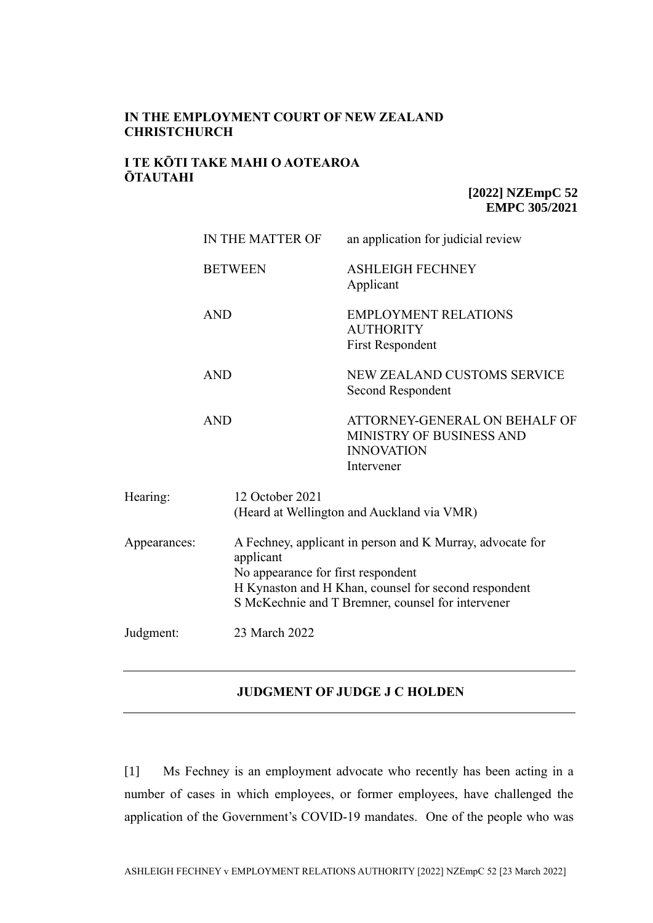### **IN THE EMPLOYMENT COURT OF NEW ZEALAND CHRISTCHURCH**

### **I TE KŌTI TAKE MAHI O AOTEAROA ŌTAUTAHI**

**[2022] NZEmpC 52 EMPC 305/2021** 

|              | IN THE MATTER OF | an application for judicial review                                                                                                                                                                           |  |
|--------------|------------------|--------------------------------------------------------------------------------------------------------------------------------------------------------------------------------------------------------------|--|
|              | <b>BETWEEN</b>   | <b>ASHLEIGH FECHNEY</b><br>Applicant                                                                                                                                                                         |  |
|              | <b>AND</b>       | <b>EMPLOYMENT RELATIONS</b><br><b>AUTHORITY</b><br><b>First Respondent</b>                                                                                                                                   |  |
|              | <b>AND</b>       | <b>NEW ZEALAND CUSTOMS SERVICE</b><br>Second Respondent                                                                                                                                                      |  |
|              | <b>AND</b>       | ATTORNEY-GENERAL ON BEHALF OF<br>MINISTRY OF BUSINESS AND<br><b>INNOVATION</b><br>Intervener                                                                                                                 |  |
| Hearing:     | 12 October 2021  | (Heard at Wellington and Auckland via VMR)                                                                                                                                                                   |  |
| Appearances: | applicant        | A Fechney, applicant in person and K Murray, advocate for<br>No appearance for first respondent<br>H Kynaston and H Khan, counsel for second respondent<br>S McKechnie and T Bremner, counsel for intervener |  |
| Judgment:    | 23 March 2022    |                                                                                                                                                                                                              |  |

### **JUDGMENT OF JUDGE J C HOLDEN**

[1] Ms Fechney is an employment advocate who recently has been acting in a number of cases in which employees, or former employees, have challenged the application of the Government's COVID-19 mandates. One of the people who was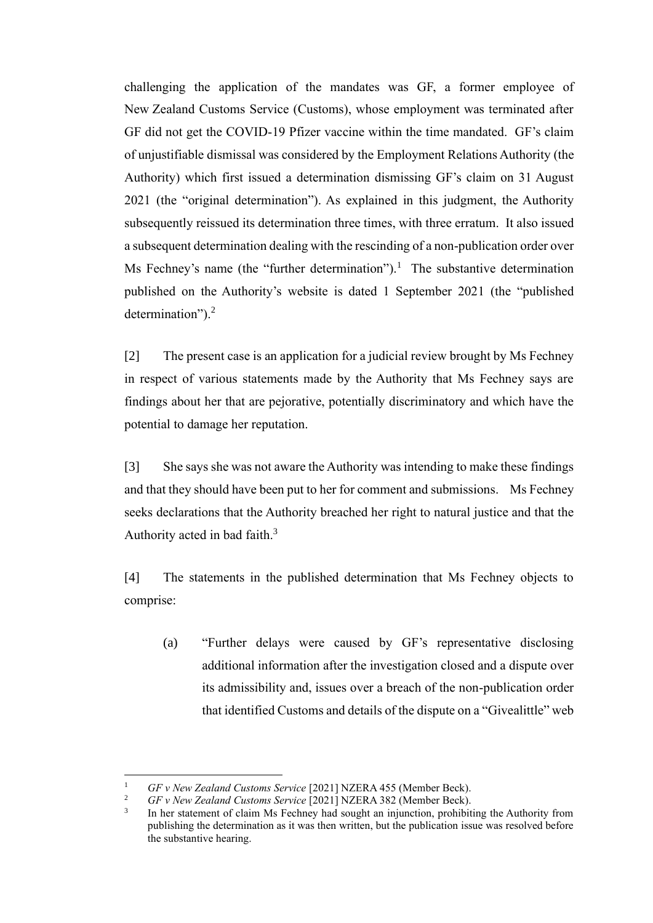challenging the application of the mandates was GF, a former employee of New Zealand Customs Service (Customs), whose employment was terminated after GF did not get the COVID-19 Pfizer vaccine within the time mandated. GF's claim of unjustifiable dismissal was considered by the Employment Relations Authority (the Authority) which first issued a determination dismissing GF's claim on 31 August 2021 (the "original determination"). As explained in this judgment, the Authority subsequently reissued its determination three times, with three erratum. It also issued a subsequent determination dealing with the rescinding of a non-publication order over Ms Fechney's name (the "further determination").<sup>1</sup> The substantive determination published on the Authority's website is dated 1 September 2021 (the "published determination").<sup>2</sup>

[2] The present case is an application for a judicial review brought by Ms Fechney in respect of various statements made by the Authority that Ms Fechney says are findings about her that are pejorative, potentially discriminatory and which have the potential to damage her reputation.

[3] She says she was not aware the Authority was intending to make these findings and that they should have been put to her for comment and submissions. Ms Fechney seeks declarations that the Authority breached her right to natural justice and that the Authority acted in bad faith.<sup>3</sup>

[4] The statements in the published determination that Ms Fechney objects to comprise:

(a) "Further delays were caused by GF's representative disclosing additional information after the investigation closed and a dispute over its admissibility and, issues over a breach of the non-publication order that identified Customs and details of the dispute on a "Givealittle" web

<sup>&</sup>lt;sup>1</sup> *GF v New Zealand Customs Service* [2021] NZERA 455 (Member Beck).<br><sup>2</sup> *GF v New Zealand Customs Service* [2021] NZER A 382 (Member Beck).

<sup>2</sup> *GF v New Zealand Customs Service* [2021] NZERA 382 (Member Beck).

<sup>3</sup> In her statement of claim Ms Fechney had sought an injunction, prohibiting the Authority from publishing the determination as it was then written, but the publication issue was resolved before the substantive hearing.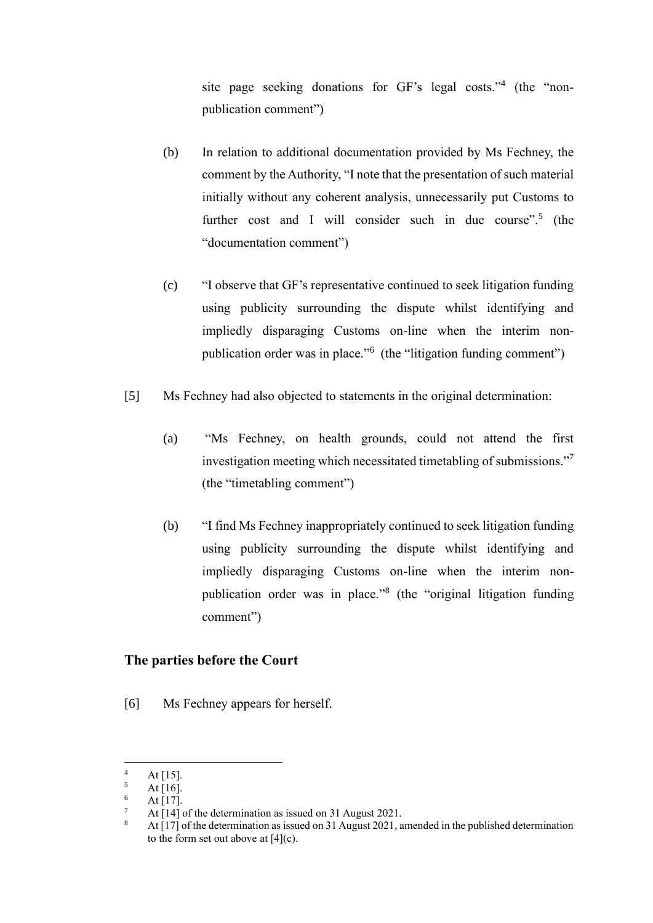site page seeking donations for GF's legal costs."<sup>4</sup> (the "nonpublication comment")

- (b) In relation to additional documentation provided by Ms Fechney, the comment by the Authority, "I note that the presentation of such material initially without any coherent analysis, unnecessarily put Customs to further cost and I will consider such in due course".<sup>5</sup> (the "documentation comment")
- (c) "I observe that GF's representative continued to seek litigation funding using publicity surrounding the dispute whilst identifying and impliedly disparaging Customs on-line when the interim nonpublication order was in place."<sup>6</sup> (the "litigation funding comment")
- [5] Ms Fechney had also objected to statements in the original determination:
	- (a) "Ms Fechney, on health grounds, could not attend the first investigation meeting which necessitated timetabling of submissions."<sup>7</sup> (the "timetabling comment")
	- (b) "I find Ms Fechney inappropriately continued to seek litigation funding using publicity surrounding the dispute whilst identifying and impliedly disparaging Customs on-line when the interim nonpublication order was in place."<sup>8</sup> (the "original litigation funding comment")

### **The parties before the Court**

[6] Ms Fechney appears for herself.

 $4$  At [15].

 $\frac{5}{6}$  At [16].

 $\frac{6}{7}$  At [17].

<sup>&</sup>lt;sup>7</sup> At [14] of the determination as issued on 31 August 2021.<br><sup>8</sup> At [17] of the determination as issued on 31 August 2021.

<sup>8</sup> At [17] of the determination as issued on 31 August 2021, amended in the published determination to the form set out above at [4](c).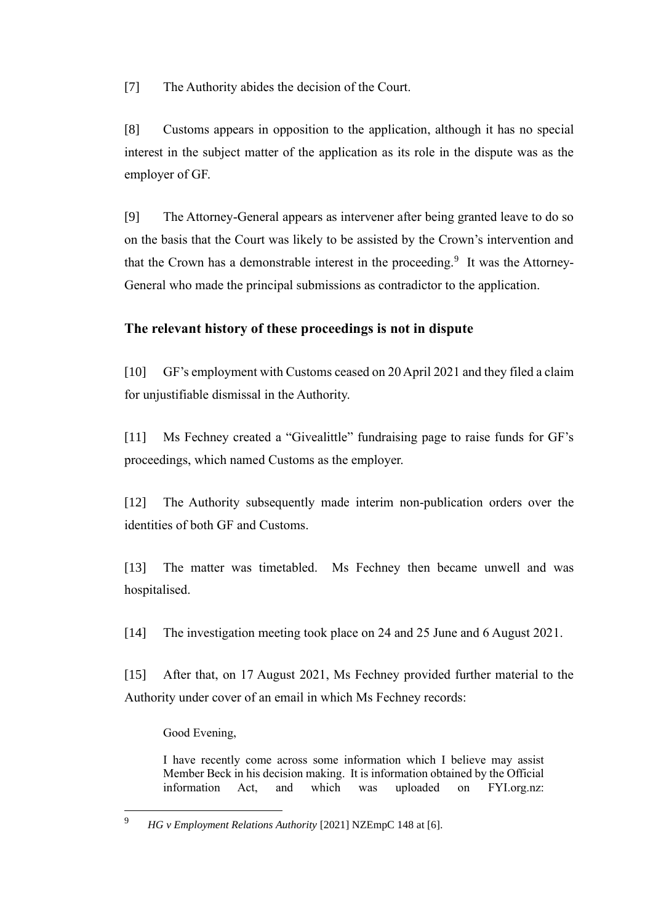[7] The Authority abides the decision of the Court.

[8] Customs appears in opposition to the application, although it has no special interest in the subject matter of the application as its role in the dispute was as the employer of GF.

[9] The Attorney-General appears as intervener after being granted leave to do so on the basis that the Court was likely to be assisted by the Crown's intervention and that the Crown has a demonstrable interest in the proceeding.<sup>9</sup> It was the Attorney-General who made the principal submissions as contradictor to the application.

# **The relevant history of these proceedings is not in dispute**

[10] GF's employment with Customs ceased on 20 April 2021 and they filed a claim for unjustifiable dismissal in the Authority.

[11] Ms Fechney created a "Givealittle" fundraising page to raise funds for GF's proceedings, which named Customs as the employer.

[12] The Authority subsequently made interim non-publication orders over the identities of both GF and Customs.

[13] The matter was timetabled. Ms Fechney then became unwell and was hospitalised.

[14] The investigation meeting took place on 24 and 25 June and 6 August 2021.

[15] After that, on 17 August 2021, Ms Fechney provided further material to the Authority under cover of an email in which Ms Fechney records:

Good Evening,

I have recently come across some information which I believe may assist Member Beck in his decision making. It is information obtained by the Official information Act, and which was uploaded on FYI.org.nz:

<sup>9</sup> *HG v Employment Relations Authority* [2021] NZEmpC 148 at [6].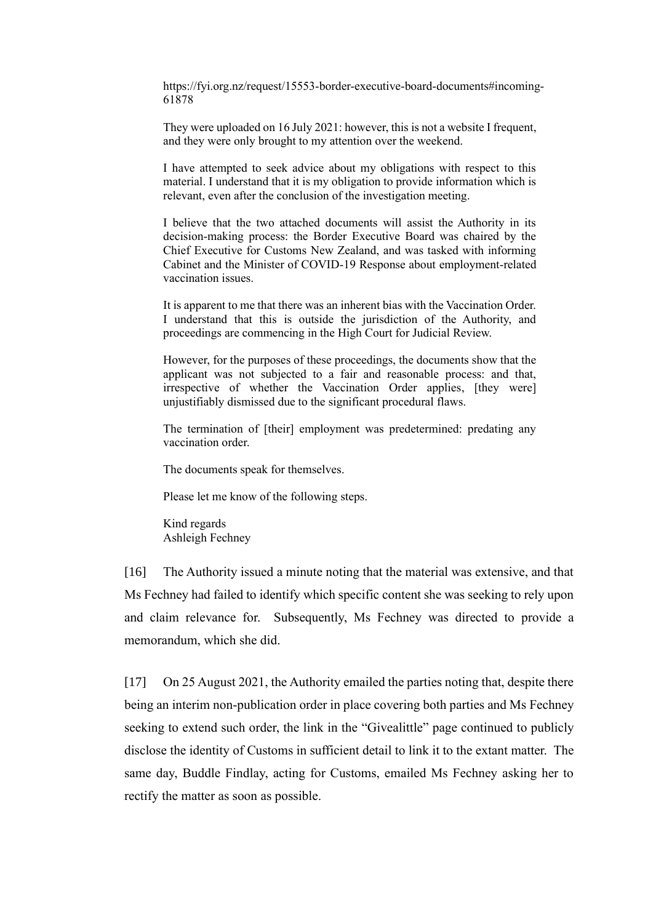https://fyi.org.nz/request/15553-border-executive-board-documents#incoming-61878

They were uploaded on 16 July 2021: however, this is not a website I frequent, and they were only brought to my attention over the weekend.

I have attempted to seek advice about my obligations with respect to this material. I understand that it is my obligation to provide information which is relevant, even after the conclusion of the investigation meeting.

I believe that the two attached documents will assist the Authority in its decision-making process: the Border Executive Board was chaired by the Chief Executive for Customs New Zealand, and was tasked with informing Cabinet and the Minister of COVID-19 Response about employment-related vaccination issues.

It is apparent to me that there was an inherent bias with the Vaccination Order. I understand that this is outside the jurisdiction of the Authority, and proceedings are commencing in the High Court for Judicial Review.

However, for the purposes of these proceedings, the documents show that the applicant was not subjected to a fair and reasonable process: and that, irrespective of whether the Vaccination Order applies, [they were] unjustifiably dismissed due to the significant procedural flaws.

The termination of [their] employment was predetermined: predating any vaccination order.

The documents speak for themselves.

Please let me know of the following steps.

Kind regards Ashleigh Fechney

[16] The Authority issued a minute noting that the material was extensive, and that Ms Fechney had failed to identify which specific content she was seeking to rely upon and claim relevance for. Subsequently, Ms Fechney was directed to provide a memorandum, which she did.

[17] On 25 August 2021, the Authority emailed the parties noting that, despite there being an interim non-publication order in place covering both parties and Ms Fechney seeking to extend such order, the link in the "Givealittle" page continued to publicly disclose the identity of Customs in sufficient detail to link it to the extant matter. The same day, Buddle Findlay, acting for Customs, emailed Ms Fechney asking her to rectify the matter as soon as possible.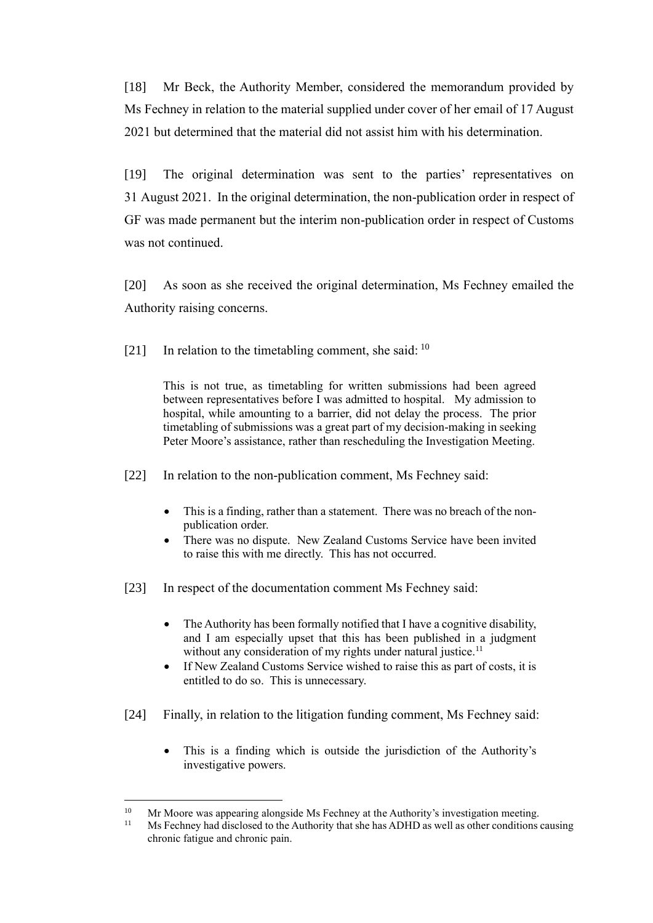[18] Mr Beck, the Authority Member, considered the memorandum provided by Ms Fechney in relation to the material supplied under cover of her email of 17 August 2021 but determined that the material did not assist him with his determination.

[19] The original determination was sent to the parties' representatives on 31 August 2021. In the original determination, the non-publication order in respect of GF was made permanent but the interim non-publication order in respect of Customs was not continued.

[20] As soon as she received the original determination, Ms Fechney emailed the Authority raising concerns.

[21] In relation to the timetabling comment, she said:  $10$ 

This is not true, as timetabling for written submissions had been agreed between representatives before I was admitted to hospital. My admission to hospital, while amounting to a barrier, did not delay the process. The prior timetabling of submissions was a great part of my decision-making in seeking Peter Moore's assistance, rather than rescheduling the Investigation Meeting.

[22] In relation to the non-publication comment, Ms Fechney said:

- This is a finding, rather than a statement. There was no breach of the nonpublication order.
- There was no dispute. New Zealand Customs Service have been invited to raise this with me directly. This has not occurred.
- [23] In respect of the documentation comment Ms Fechney said:
	- The Authority has been formally notified that I have a cognitive disability, and I am especially upset that this has been published in a judgment without any consideration of my rights under natural justice.<sup>11</sup>
	- If New Zealand Customs Service wished to raise this as part of costs, it is entitled to do so. This is unnecessary.
- [24] Finally, in relation to the litigation funding comment, Ms Fechney said:
	- This is a finding which is outside the jurisdiction of the Authority's investigative powers.

<sup>&</sup>lt;sup>10</sup> Mr Moore was appearing alongside Ms Fechney at the Authority's investigation meeting.<br><sup>11</sup> Ms Fechney had disclosed to the Authority that she has ADHD as well as other conditions

<sup>11</sup> Ms Fechney had disclosed to the Authority that she has ADHD as well as other conditions causing chronic fatigue and chronic pain.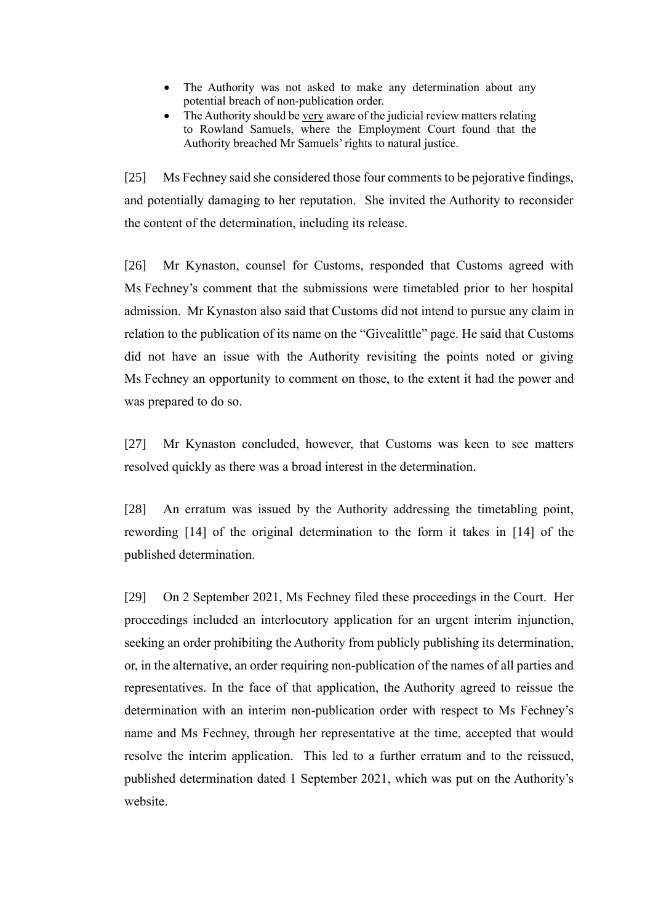- The Authority was not asked to make any determination about any potential breach of non-publication order.
- The Authority should be very aware of the judicial review matters relating to Rowland Samuels, where the Employment Court found that the Authority breached Mr Samuels' rights to natural justice.

[25] Ms Fechney said she considered those four comments to be pejorative findings, and potentially damaging to her reputation. She invited the Authority to reconsider the content of the determination, including its release.

[26] Mr Kynaston, counsel for Customs, responded that Customs agreed with Ms Fechney's comment that the submissions were timetabled prior to her hospital admission. Mr Kynaston also said that Customs did not intend to pursue any claim in relation to the publication of its name on the "Givealittle" page. He said that Customs did not have an issue with the Authority revisiting the points noted or giving Ms Fechney an opportunity to comment on those, to the extent it had the power and was prepared to do so.

[27] Mr Kynaston concluded, however, that Customs was keen to see matters resolved quickly as there was a broad interest in the determination.

[28] An erratum was issued by the Authority addressing the timetabling point, rewording [14] of the original determination to the form it takes in [14] of the published determination.

[29] On 2 September 2021, Ms Fechney filed these proceedings in the Court. Her proceedings included an interlocutory application for an urgent interim injunction, seeking an order prohibiting the Authority from publicly publishing its determination, or, in the alternative, an order requiring non-publication of the names of all parties and representatives. In the face of that application, the Authority agreed to reissue the determination with an interim non-publication order with respect to Ms Fechney's name and Ms Fechney, through her representative at the time, accepted that would resolve the interim application. This led to a further erratum and to the reissued, published determination dated 1 September 2021, which was put on the Authority's website.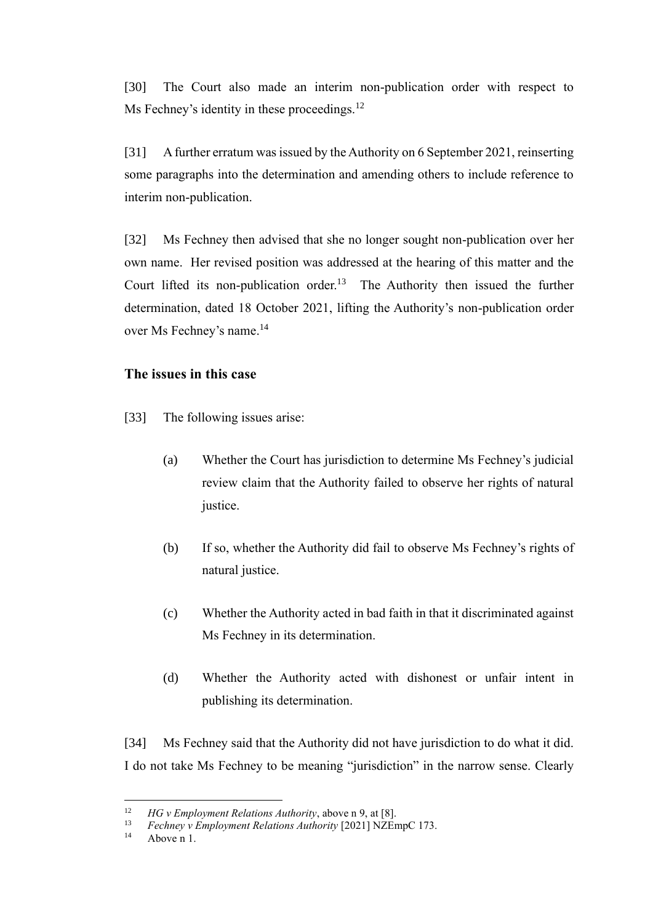[30] The Court also made an interim non-publication order with respect to Ms Fechney's identity in these proceedings.<sup>12</sup>

[31] A further erratum was issued by the Authority on 6 September 2021, reinserting some paragraphs into the determination and amending others to include reference to interim non-publication.

[32] Ms Fechney then advised that she no longer sought non-publication over her own name. Her revised position was addressed at the hearing of this matter and the Court lifted its non-publication order.<sup>13</sup> The Authority then issued the further determination, dated 18 October 2021, lifting the Authority's non-publication order over Ms Fechney's name.<sup>14</sup>

### **The issues in this case**

- [33] The following issues arise:
	- (a) Whether the Court has jurisdiction to determine Ms Fechney's judicial review claim that the Authority failed to observe her rights of natural justice.
	- (b) If so, whether the Authority did fail to observe Ms Fechney's rights of natural justice.
	- (c) Whether the Authority acted in bad faith in that it discriminated against Ms Fechney in its determination.
	- (d) Whether the Authority acted with dishonest or unfair intent in publishing its determination.

[34] Ms Fechney said that the Authority did not have jurisdiction to do what it did. I do not take Ms Fechney to be meaning "jurisdiction" in the narrow sense. Clearly

<sup>&</sup>lt;sup>12</sup> *HG v Employment Relations Authority*, above n 9, at [8].<br><sup>13</sup> *Eachnew v Employment Polations Authority* [2021] NZE<sub>E</sub>

<sup>13</sup> *Fechney v Employment Relations Authority* [2021] NZEmpC 173.

Above n 1.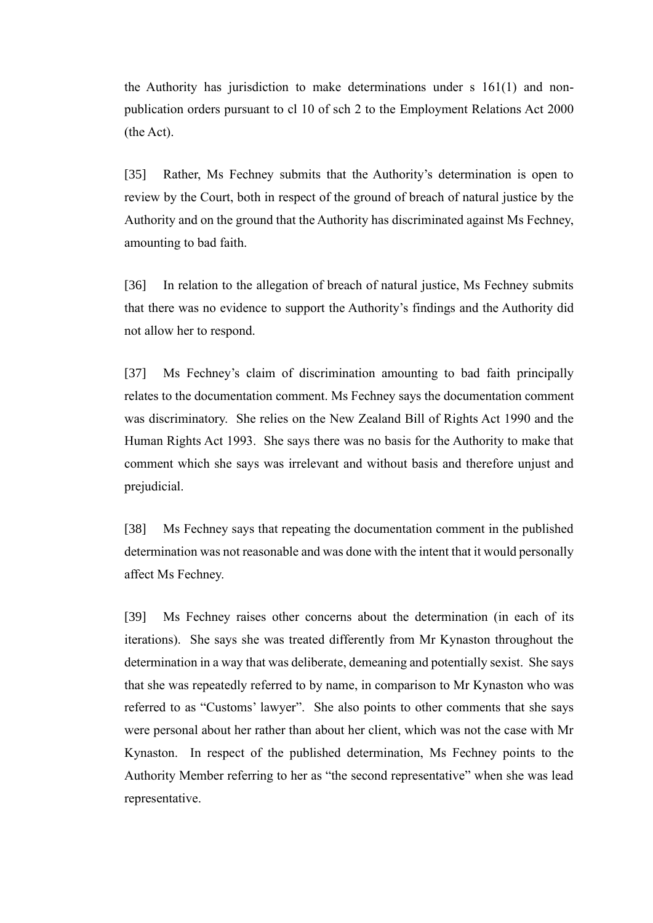the Authority has jurisdiction to make determinations under s 161(1) and nonpublication orders pursuant to cl 10 of sch 2 to the Employment Relations Act 2000 (the Act).

[35] Rather, Ms Fechney submits that the Authority's determination is open to review by the Court, both in respect of the ground of breach of natural justice by the Authority and on the ground that the Authority has discriminated against Ms Fechney, amounting to bad faith.

[36] In relation to the allegation of breach of natural justice, Ms Fechney submits that there was no evidence to support the Authority's findings and the Authority did not allow her to respond.

[37] Ms Fechney's claim of discrimination amounting to bad faith principally relates to the documentation comment. Ms Fechney says the documentation comment was discriminatory. She relies on the New Zealand Bill of Rights Act 1990 and the Human Rights Act 1993. She says there was no basis for the Authority to make that comment which she says was irrelevant and without basis and therefore unjust and prejudicial.

[38] Ms Fechney says that repeating the documentation comment in the published determination was not reasonable and was done with the intent that it would personally affect Ms Fechney.

[39] Ms Fechney raises other concerns about the determination (in each of its iterations). She says she was treated differently from Mr Kynaston throughout the determination in a way that was deliberate, demeaning and potentially sexist. She says that she was repeatedly referred to by name, in comparison to Mr Kynaston who was referred to as "Customs' lawyer". She also points to other comments that she says were personal about her rather than about her client, which was not the case with Mr Kynaston. In respect of the published determination, Ms Fechney points to the Authority Member referring to her as "the second representative" when she was lead representative.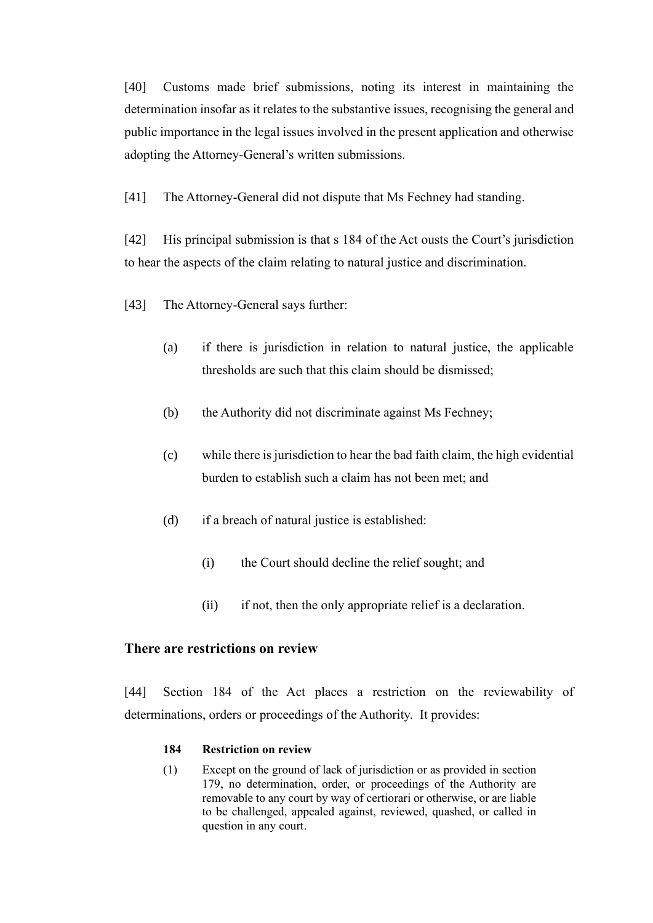[40] Customs made brief submissions, noting its interest in maintaining the determination insofar as it relates to the substantive issues, recognising the general and public importance in the legal issues involved in the present application and otherwise adopting the Attorney-General's written submissions.

[41] The Attorney-General did not dispute that Ms Fechney had standing.

[42] His principal submission is that s 184 of the Act ousts the Court's jurisdiction to hear the aspects of the claim relating to natural justice and discrimination.

- [43] The Attorney-General says further:
	- (a) if there is jurisdiction in relation to natural justice, the applicable thresholds are such that this claim should be dismissed;
	- (b) the Authority did not discriminate against Ms Fechney;
	- (c) while there is jurisdiction to hear the bad faith claim, the high evidential burden to establish such a claim has not been met; and
	- (d) if a breach of natural justice is established:
		- (i) the Court should decline the relief sought; and
		- (ii) if not, then the only appropriate relief is a declaration.

## **There are restrictions on review**

[44] Section 184 of the Act places a restriction on the reviewability of determinations, orders or proceedings of the Authority. It provides:

#### **184 Restriction on review**

(1) Except on the ground of lack of jurisdiction or as provided in section 179, no determination, order, or proceedings of the Authority are removable to any court by way of certiorari or otherwise, or are liable to be challenged, appealed against, reviewed, quashed, or called in question in any court.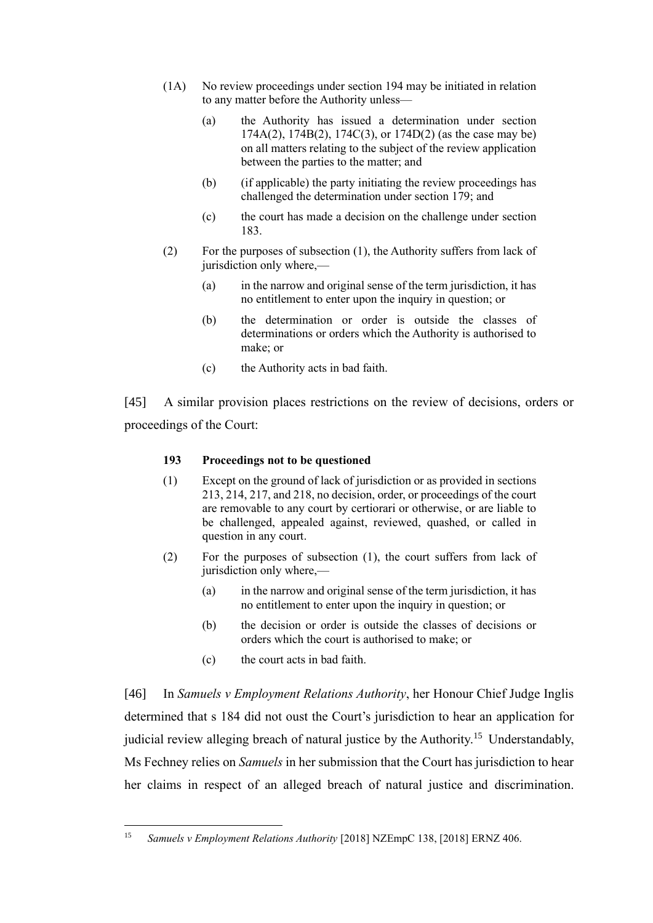- (1A) No review proceedings under section 194 may be initiated in relation to any matter before the Authority unless—
	- (a) the Authority has issued a determination under section 174A(2), 174B(2), 174C(3), or 174D(2) (as the case may be) on all matters relating to the subject of the review application between the parties to the matter; and
	- (b) (if applicable) the party initiating the review proceedings has challenged the determination under section 179; and
	- (c) the court has made a decision on the challenge under section 183.
- (2) For the purposes of subsection (1), the Authority suffers from lack of jurisdiction only where,—
	- (a) in the narrow and original sense of the term jurisdiction, it has no entitlement to enter upon the inquiry in question; or
	- (b) the determination or order is outside the classes of determinations or orders which the Authority is authorised to make; or
	- (c) the Authority acts in bad faith.

[45] A similar provision places restrictions on the review of decisions, orders or proceedings of the Court:

### **193 Proceedings not to be questioned**

- (1) Except on the ground of lack of jurisdiction or as provided in sections 213, 214, 217, and 218, no decision, order, or proceedings of the court are removable to any court by certiorari or otherwise, or are liable to be challenged, appealed against, reviewed, quashed, or called in question in any court.
- (2) For the purposes of subsection (1), the court suffers from lack of jurisdiction only where,—
	- (a) in the narrow and original sense of the term jurisdiction, it has no entitlement to enter upon the inquiry in question; or
	- (b) the decision or order is outside the classes of decisions or orders which the court is authorised to make; or
	- (c) the court acts in bad faith.

[46] In *Samuels v Employment Relations Authority*, her Honour Chief Judge Inglis determined that s 184 did not oust the Court's jurisdiction to hear an application for judicial review alleging breach of natural justice by the Authority.<sup>15</sup> Understandably, Ms Fechney relies on *Samuels* in her submission that the Court has jurisdiction to hear her claims in respect of an alleged breach of natural justice and discrimination.

<sup>15</sup> *Samuels v Employment Relations Authority* [2018] NZEmpC 138, [2018] ERNZ 406.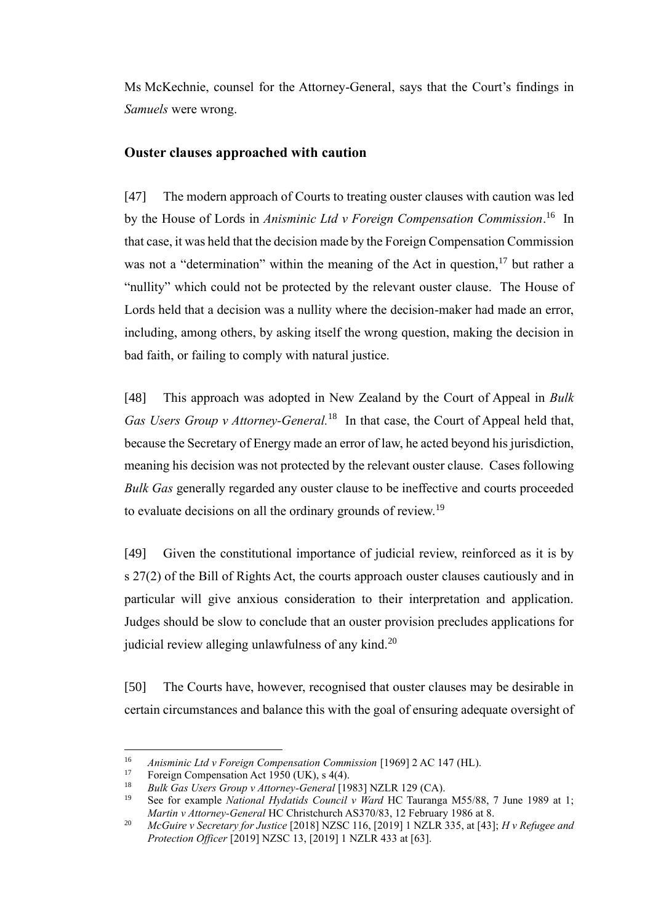Ms McKechnie, counsel for the Attorney-General, says that the Court's findings in *Samuels* were wrong.

## **Ouster clauses approached with caution**

[47] The modern approach of Courts to treating ouster clauses with caution was led by the House of Lords in *Anisminic Ltd v Foreign Compensation Commission*. 16 In that case, it was held that the decision made by the Foreign Compensation Commission was not a "determination" within the meaning of the Act in question,  $17$  but rather a "nullity" which could not be protected by the relevant ouster clause. The House of Lords held that a decision was a nullity where the decision-maker had made an error, including, among others, by asking itself the wrong question, making the decision in bad faith, or failing to comply with natural justice.

[48] This approach was adopted in New Zealand by the Court of Appeal in *Bulk Gas Users Group v Attorney-General.*<sup>18</sup> In that case, the Court of Appeal held that, because the Secretary of Energy made an error of law, he acted beyond his jurisdiction, meaning his decision was not protected by the relevant ouster clause. Cases following *Bulk Gas* generally regarded any ouster clause to be ineffective and courts proceeded to evaluate decisions on all the ordinary grounds of review.<sup>19</sup>

[49] Given the constitutional importance of judicial review, reinforced as it is by s [27\(2\)](https://www.westlaw.co.nz/maf/wlnz/app/document?&src=rl&docguid=I046a136ae02411e08eefa443f89988a0&hitguid=I11dc5e049eec11e0a619d462427863b2&snippets=true&startChunk=1&endChunk=1&isTocNav=true&tocDs=AUNZ_CASES_TOC&extLink=false#anchor_I11dc5e049eec11e0a619d462427863b2) of the Bill of Rights Act, the courts approach ouster clauses cautiously and in particular will give anxious consideration to their interpretation and application. Judges should be slow to conclude that an ouster provision precludes applications for judicial review alleging unlawfulness of any kind.<sup>20</sup>

[50] The Courts have, however, recognised that ouster clauses may be desirable in certain circumstances and balance this with the goal of ensuring adequate oversight of

<sup>&</sup>lt;sup>16</sup> *Anisminic Ltd v Foreign Compensation Commission* [1969] 2 AC 147 (HL).

<sup>&</sup>lt;sup>17</sup> Foreign Compensation Act 1950 (UK), s 4(4).

<sup>18</sup> *Bulk Gas Users Group v Attorney-General* [1983] NZLR 129 (CA).

<sup>&</sup>lt;sup>19</sup> See for example *National Hydatids Council v Ward* HC Tauranga M55/88, 7 June 1989 at 1; *Martin v Attorney-General* HC Christchurch AS370/83, 12 February 1986 at 8.

<sup>20</sup> *McGuire v Secretary for Justice* [2018] NZSC 116, [2019] 1 NZLR 335, at [43]; *H v Refugee and Protection Officer* [2019] NZSC 13, [2019] 1 NZLR 433 at [63].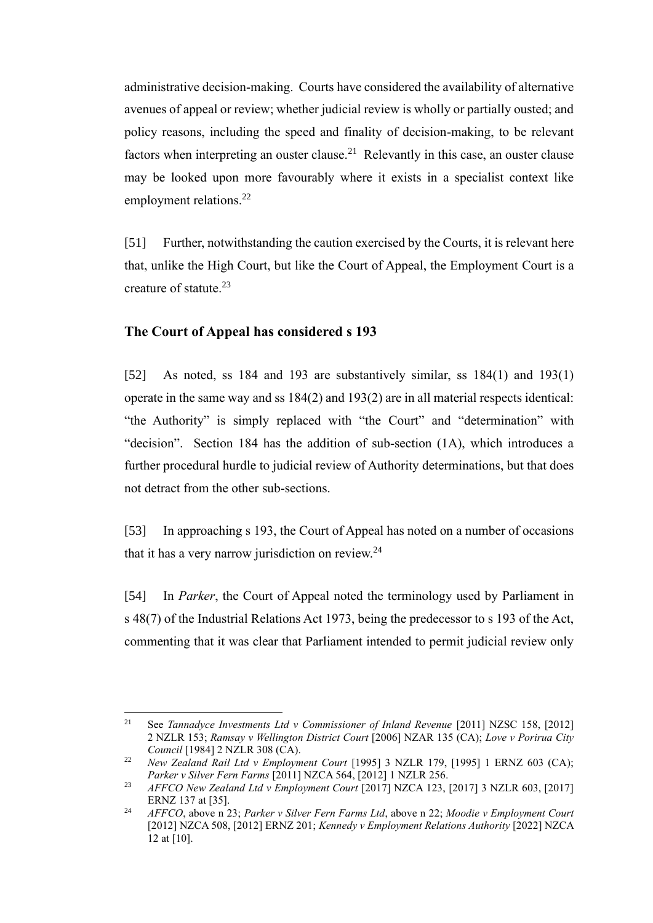administrative decision-making. Courts have considered the availability of alternative avenues of appeal or review; whether judicial review is wholly or partially ousted; and policy reasons, including the speed and finality of decision-making, to be relevant factors when interpreting an ouster clause.<sup>21</sup> Relevantly in this case, an ouster clause may be looked upon more favourably where it exists in a specialist context like employment relations.<sup>22</sup>

[51] Further, notwithstanding the caution exercised by the Courts, it is relevant here that, unlike the High Court, but like the Court of Appeal, the Employment Court is a creature of statute. 23

#### **The Court of Appeal has considered s 193**

[52] As noted, ss 184 and 193 are substantively similar, ss 184(1) and 193(1) operate in the same way and ss 184(2) and 193(2) are in all material respects identical: "the Authority" is simply replaced with "the Court" and "determination" with "decision". Section 184 has the addition of sub-section (1A), which introduces a further procedural hurdle to judicial review of Authority determinations, but that does not detract from the other sub-sections.

[53] In approaching s 193, the Court of Appeal has noted on a number of occasions that it has a very narrow jurisdiction on review. $24$ 

[54] In *Parker*, the Court of Appeal noted the terminology used by Parliament in s 48(7) of the Industrial Relations Act 1973, being the predecessor to s 193 of the Act, commenting that it was clear that Parliament intended to permit judicial review only

<sup>21</sup> See *Tannadyce Investments Ltd v Commissioner of Inland Revenue* [2011] NZSC 158, [2012] 2 NZLR 153; *Ramsay v Wellington District Court* [2006] NZAR 135 (CA); *Love v Porirua City Council* [1984] 2 NZLR 308 (CA).

<sup>&</sup>lt;sup>22</sup> *New Zealand Rail Ltd v Employment Court* [1995] 3 NZLR 179, [1995] 1 ERNZ 603 (CA); *Parker v Silver Fern Farms* [2011] NZCA 564, [2012] 1 NZLR 256.

<sup>23</sup> *AFFCO New Zealand Ltd v Employment Court* [2017] NZCA 123, [2017] 3 NZLR 603, [2017] ERNZ 137 at [35].

<sup>24</sup> *AFFCO*, above n 23; *Parker v Silver Fern Farms Ltd*, above n 22; *Moodie v Employment Court*  [2012] NZCA 508, [2012] ERNZ 201; *Kennedy v Employment Relations Authority* [2022] NZCA 12 at [10].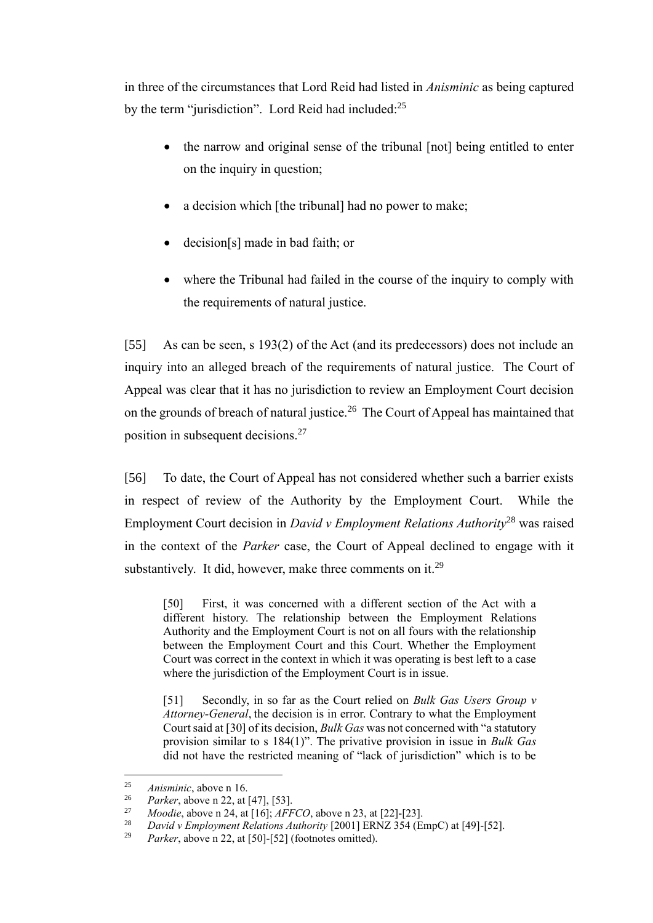in three of the circumstances that Lord Reid had listed in *Anisminic* as being captured by the term "jurisdiction". Lord Reid had included:<sup>25</sup>

- the narrow and original sense of the tribunal [not] being entitled to enter on the inquiry in question;
- a decision which [the tribunal] had no power to make;
- decision[s] made in bad faith; or
- where the Tribunal had failed in the course of the inquiry to comply with the requirements of natural justice.

[55] As can be seen, s 193(2) of the Act (and its predecessors) does not include an inquiry into an alleged breach of the requirements of natural justice. The Court of Appeal was clear that it has no jurisdiction to review an Employment Court decision on the grounds of breach of natural justice.<sup>26</sup> The Court of Appeal has maintained that position in subsequent decisions.<sup>27</sup>

[56] To date, the Court of Appeal has not considered whether such a barrier exists in respect of review of the Authority by the Employment Court. While the Employment Court decision in *David v Employment Relations Authority*<sup>28</sup> was raised in the context of the *Parker* case, the Court of Appeal declined to engage with it substantively. It did, however, make three comments on it.<sup>29</sup>

[50] First, it was concerned with a different section of the Act with a different history. The relationship between the Employment Relations Authority and the Employment Court is not on all fours with the relationship between the Employment Court and this Court. Whether the Employment Court was correct in the context in which it was operating is best left to a case where the jurisdiction of the Employment Court is in issue.

[51] Secondly, in so far as the Court relied on *Bulk Gas Users Group v Attorney-General*, the decision is in error. Contrary to what the Employment Court said at [30] of its decision, *Bulk Gas* was not concerned with "a statutory provision similar to s 184(1)". The privative provision in issue in *Bulk Gas*  did not have the restricted meaning of "lack of jurisdiction" which is to be

<sup>&</sup>lt;sup>25</sup> *Anisminic*, above n 16.<br><sup>26</sup> *Payker* above n 22, at

<sup>&</sup>lt;sup>26</sup> *Parker*, above n 22, at [47], [53].

<sup>&</sup>lt;sup>27</sup> *Moodie*, above n 24, at  $[16]$ ;  $\overline{AFCO}$ , above n 23, at  $[22]$ <sup>[23]</sup>.<br><sup>28</sup> *David y Employment Palations Authority* [2001] EPNZ 354 (Eq.

<sup>28</sup> *David v Employment Relations Authority* [2001] ERNZ 354 (EmpC) at [49]-[52].

<sup>29</sup> *Parker*, above n 22, at [50]-[52] (footnotes omitted).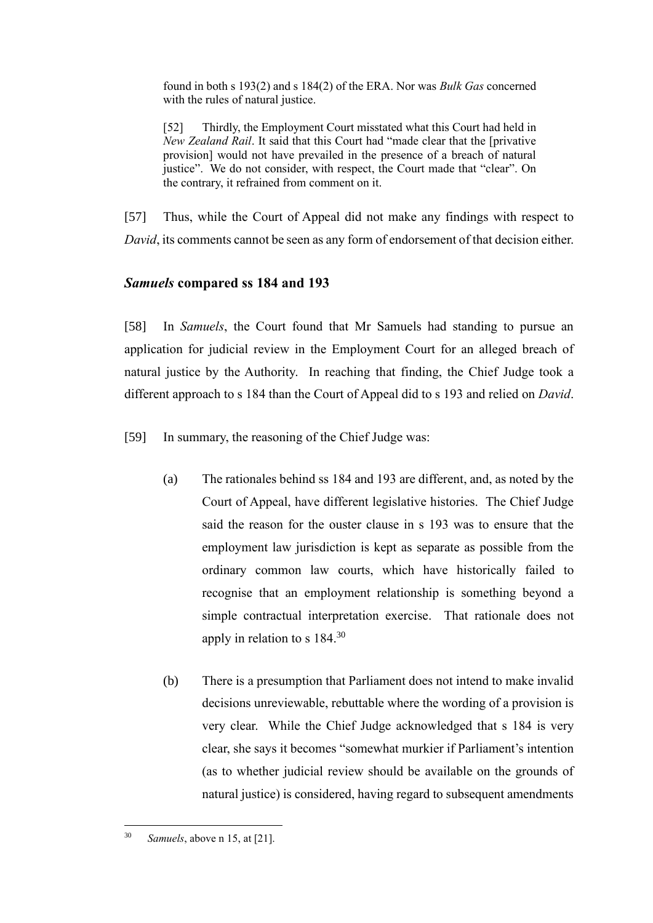found in both s 193(2) and s 184(2) of the ERA. Nor was *Bulk Gas* concerned with the rules of natural justice.

[52] Thirdly, the Employment Court misstated what this Court had held in *New Zealand Rail*. It said that this Court had "made clear that the [privative provision] would not have prevailed in the presence of a breach of natural justice". We do not consider, with respect, the Court made that "clear". On the contrary, it refrained from comment on it.

[57] Thus, while the Court of Appeal did not make any findings with respect to *David*, its comments cannot be seen as any form of endorsement of that decision either.

## *Samuels* **compared ss 184 and 193**

[58] In *Samuels*, the Court found that Mr Samuels had standing to pursue an application for judicial review in the Employment Court for an alleged breach of natural justice by the Authority. In reaching that finding, the Chief Judge took a different approach to s 184 than the Court of Appeal did to s 193 and relied on *David*.

[59] In summary, the reasoning of the Chief Judge was:

- (a) The rationales behind ss 184 and 193 are different, and, as noted by the Court of Appeal, have different legislative histories. The Chief Judge said the reason for the ouster clause in s 193 was to ensure that the employment law jurisdiction is kept as separate as possible from the ordinary common law courts, which have historically failed to recognise that an employment relationship is something beyond a simple contractual interpretation exercise. That rationale does not apply in relation to s 184.<sup>30</sup>
- (b) There is a presumption that Parliament does not intend to make invalid decisions unreviewable, rebuttable where the wording of a provision is very clear. While the Chief Judge acknowledged that s 184 is very clear, she says it becomes "somewhat murkier if Parliament's intention (as to whether judicial review should be available on the grounds of natural justice) is considered, having regard to subsequent amendments

<sup>30</sup> *Samuels*, above n 15, at [21].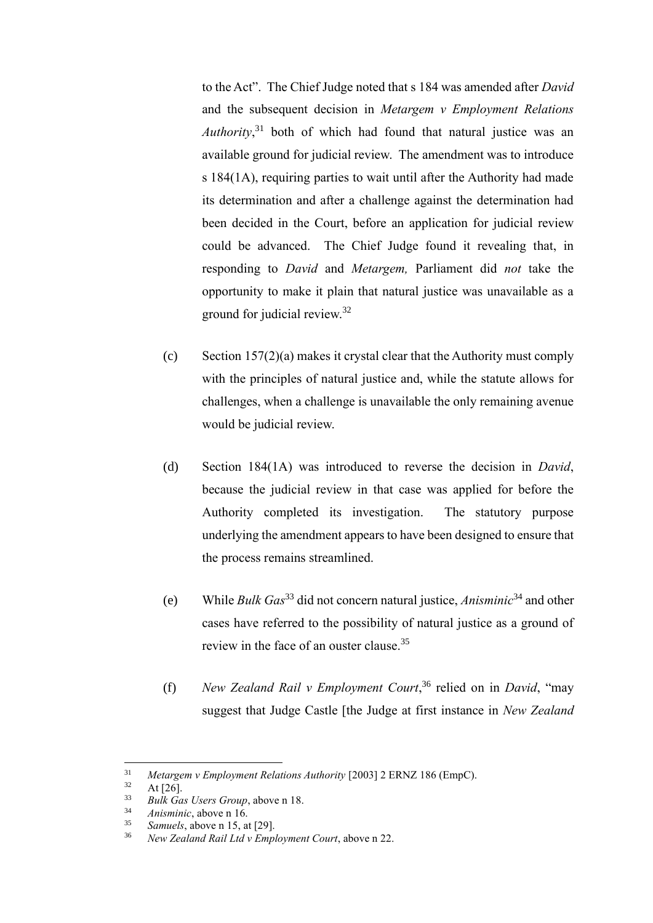to the Act". The Chief Judge noted that s 184 was amended after *David* and the subsequent decision in *Metargem v Employment Relations Authority*, <sup>31</sup> both of which had found that natural justice was an available ground for judicial review. The amendment was to introduce s 184(1A), requiring parties to wait until after the Authority had made its determination and after a challenge against the determination had been decided in the Court, before an application for judicial review could be advanced. The Chief Judge found it revealing that, in responding to *David* and *Metargem,* Parliament did *not* take the opportunity to make it plain that natural justice was unavailable as a ground for judicial review.<sup>32</sup>

- (c) Section  $157(2)(a)$  makes it crystal clear that the Authority must comply with the principles of natural justice and, while the statute allows for challenges, when a challenge is unavailable the only remaining avenue would be judicial review.
- (d) Section 184(1A) was introduced to reverse the decision in *David*, because the judicial review in that case was applied for before the Authority completed its investigation. The statutory purpose underlying the amendment appears to have been designed to ensure that the process remains streamlined.
- (e) While *Bulk Gas*<sup>33</sup> did not concern natural justice, *Anisminic*<sup>34</sup> and other cases have referred to the possibility of natural justice as a ground of review in the face of an ouster clause.<sup>35</sup>
- (f) *New Zealand Rail v Employment Court*, <sup>36</sup> relied on in *David*, "may suggest that Judge Castle [the Judge at first instance in *New Zealand*

<sup>&</sup>lt;sup>31</sup> *Metargem v Employment Relations Authority* [2003] 2 ERNZ 186 (EmpC).<br><sup>32</sup> At [26]

 $rac{32}{33}$  At [26].

<sup>33</sup> *Bulk Gas Users Group*, above n 18.

<sup>34</sup> *Anisminic*, above n 16.

Samuels, above n 15, at [29].

<sup>36</sup> *New Zealand Rail Ltd v Employment Court*, above n 22.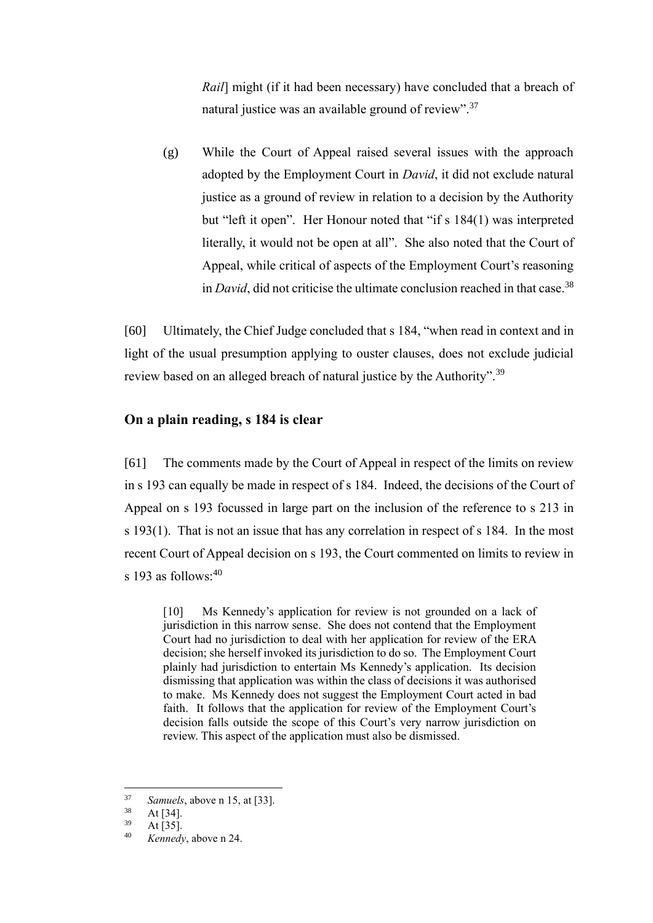*Rail*] might (if it had been necessary) have concluded that a breach of natural justice was an available ground of review".<sup>37</sup>

(g) While the Court of Appeal raised several issues with the approach adopted by the Employment Court in *David*, it did not exclude natural justice as a ground of review in relation to a decision by the Authority but "left it open". Her Honour noted that "if s 184(1) was interpreted literally, it would not be open at all". She also noted that the Court of Appeal, while critical of aspects of the Employment Court's reasoning in *David*, did not criticise the ultimate conclusion reached in that case.<sup>38</sup>

[60] Ultimately, the Chief Judge concluded that s 184, "when read in context and in light of the usual presumption applying to ouster clauses, does not exclude judicial review based on an alleged breach of natural justice by the Authority".<sup>39</sup>

### **On a plain reading, s 184 is clear**

[61] The comments made by the Court of Appeal in respect of the limits on review in s 193 can equally be made in respect of s 184. Indeed, the decisions of the Court of Appeal on s 193 focussed in large part on the inclusion of the reference to s 213 in s 193(1). That is not an issue that has any correlation in respect of s 184. In the most recent Court of Appeal decision on s 193, the Court commented on limits to review in s 193 as follows: $40$ 

[10] Ms Kennedy's application for review is not grounded on a lack of jurisdiction in this narrow sense. She does not contend that the Employment Court had no jurisdiction to deal with her application for review of the ERA decision; she herself invoked its jurisdiction to do so. The Employment Court plainly had jurisdiction to entertain Ms Kennedy's application. Its decision dismissing that application was within the class of decisions it was authorised to make. Ms Kennedy does not suggest the Employment Court acted in bad faith. It follows that the application for review of the Employment Court's decision falls outside the scope of this Court's very narrow jurisdiction on review. This aspect of the application must also be dismissed.

<sup>&</sup>lt;sup>37</sup> *Samuels*, above n 15, at [33].

 $38$  At [34].

At  $[35]$ .

<sup>40</sup> *Kennedy*, above n 24.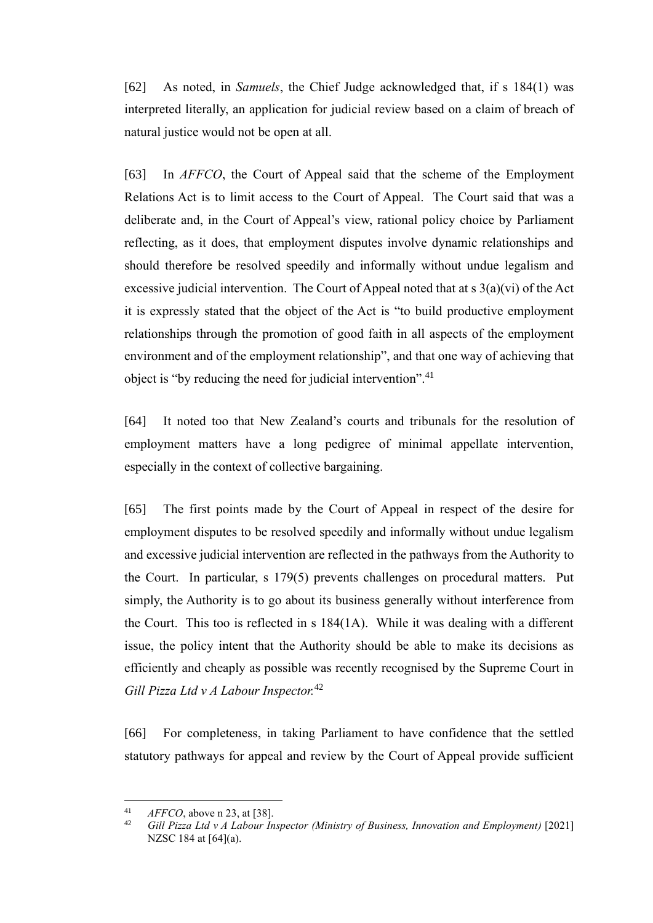[62] As noted, in *Samuels*, the Chief Judge acknowledged that, if s 184(1) was interpreted literally, an application for judicial review based on a claim of breach of natural justice would not be open at all.

[63] In *AFFCO*, the Court of Appeal said that the scheme of the Employment Relations Act is to limit access to the Court of Appeal. The Court said that was a deliberate and, in the Court of Appeal's view, rational policy choice by Parliament reflecting, as it does, that employment disputes involve dynamic relationships and should therefore be resolved speedily and informally without undue legalism and excessive judicial intervention. The Court of Appeal noted that at s 3(a)(vi) of the Act it is expressly stated that the object of the Act is "to build productive employment relationships through the promotion of good faith in all aspects of the employment environment and of the employment relationship", and that one way of achieving that object is "by reducing the need for judicial intervention".<sup>41</sup>

[64] It noted too that New Zealand's courts and tribunals for the resolution of employment matters have a long pedigree of minimal appellate intervention, especially in the context of collective bargaining.

[65] The first points made by the Court of Appeal in respect of the desire for employment disputes to be resolved speedily and informally without undue legalism and excessive judicial intervention are reflected in the pathways from the Authority to the Court. In particular, s 179(5) prevents challenges on procedural matters. Put simply, the Authority is to go about its business generally without interference from the Court. This too is reflected in s 184(1A). While it was dealing with a different issue, the policy intent that the Authority should be able to make its decisions as efficiently and cheaply as possible was recently recognised by the Supreme Court in *Gill Pizza Ltd v A Labour Inspector.*<sup>42</sup>

[66] For completeness, in taking Parliament to have confidence that the settled statutory pathways for appeal and review by the Court of Appeal provide sufficient

<sup>&</sup>lt;sup>41</sup> *AFFCO*, above n 23, at [38].

<sup>42</sup> *Gill Pizza Ltd v A Labour Inspector (Ministry of Business, Innovation and Employment)* [2021] NZSC 184 at [64](a).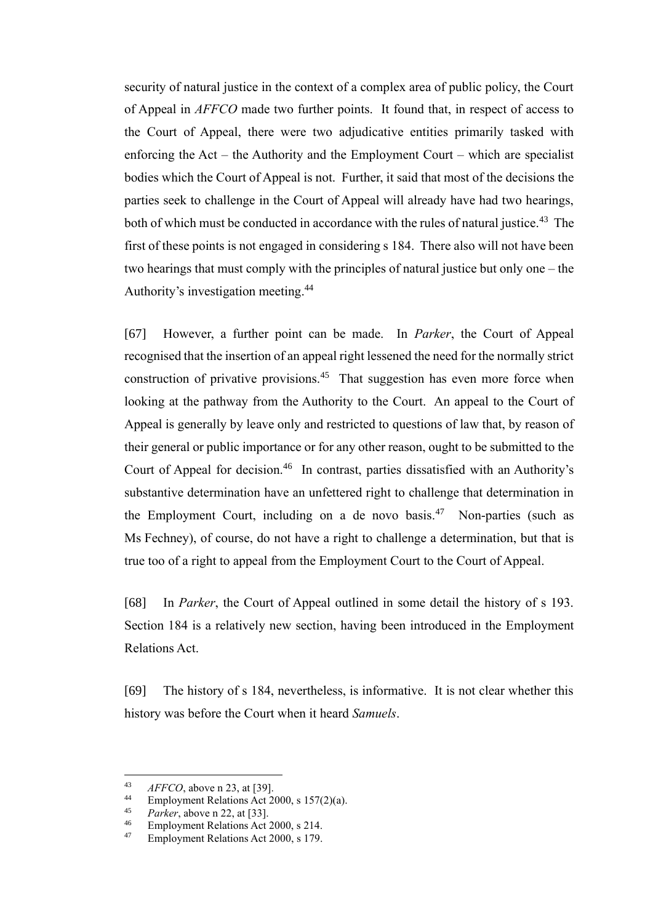security of natural justice in the context of a complex area of public policy, the Court of Appeal in *AFFCO* made two further points. It found that, in respect of access to the Court of Appeal, there were two adjudicative entities primarily tasked with enforcing the Act – the Authority and the Employment Court – which are specialist bodies which the Court of Appeal is not. Further, it said that most of the decisions the parties seek to challenge in the Court of Appeal will already have had two hearings, both of which must be conducted in accordance with the rules of natural justice.<sup>43</sup> The first of these points is not engaged in considering s 184. There also will not have been two hearings that must comply with the principles of natural justice but only one – the Authority's investigation meeting. 44

[67] However, a further point can be made. In *Parker*, the Court of Appeal recognised that the insertion of an appeal right lessened the need for the normally strict construction of privative provisions.<sup>45</sup> That suggestion has even more force when looking at the pathway from the Authority to the Court. An appeal to the Court of Appeal is generally by leave only and restricted to questions of law that, by reason of their general or public importance or for any other reason, ought to be submitted to the Court of Appeal for decision.<sup>46</sup> In contrast, parties dissatisfied with an Authority's substantive determination have an unfettered right to challenge that determination in the Employment Court, including on a de novo basis.<sup>47</sup> Non-parties (such as Ms Fechney), of course, do not have a right to challenge a determination, but that is true too of a right to appeal from the Employment Court to the Court of Appeal.

[68] In *Parker*, the Court of Appeal outlined in some detail the history of s 193. Section 184 is a relatively new section, having been introduced in the Employment Relations Act.

[69] The history of s 184, nevertheless, is informative. It is not clear whether this history was before the Court when it heard *Samuels*.

 $43$  *AFFCO*, above n 23, at [39].

<sup>&</sup>lt;sup>44</sup> Employment Relations Act 2000, s  $157(2)(a)$ .<br><sup>45</sup> Paykay above p 22, at [22]

 $\frac{45}{46}$  *Parker*, above n 22, at [33].

<sup>&</sup>lt;sup>46</sup> Employment Relations Act 2000, s 214.<br><sup>47</sup> Employment Relations Act 2000, s 179.

<sup>47</sup> Employment Relations Act 2000, s 179.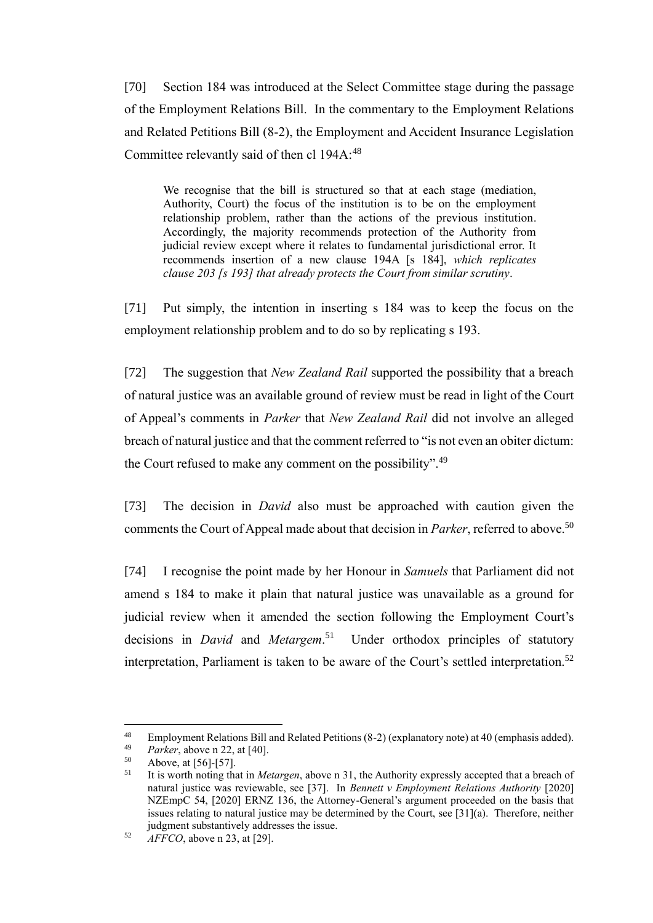[70] Section 184 was introduced at the Select Committee stage during the passage of the Employment Relations Bill. In the commentary to the Employment Relations and Related Petitions Bill (8-2), the Employment and Accident Insurance Legislation Committee relevantly said of then cl 194A:<sup>48</sup>

We recognise that the bill is structured so that at each stage (mediation, Authority, Court) the focus of the institution is to be on the employment relationship problem, rather than the actions of the previous institution. Accordingly, the majority recommends protection of the Authority from judicial review except where it relates to fundamental jurisdictional error. It recommends insertion of a new clause 194A [s 184], *which replicates clause 203 [s 193] that already protects the Court from similar scrutiny*.

[71] Put simply, the intention in inserting s 184 was to keep the focus on the employment relationship problem and to do so by replicating s 193.

[72] The suggestion that *New Zealand Rail* supported the possibility that a breach of natural justice was an available ground of review must be read in light of the Court of Appeal's comments in *Parker* that *New Zealand Rail* did not involve an alleged breach of natural justice and that the comment referred to "is not even an obiter dictum: the Court refused to make any comment on the possibility".<sup>49</sup>

[73] The decision in *David* also must be approached with caution given the comments the Court of Appeal made about that decision in *Parker*, referred to above.<sup>50</sup>

[74] I recognise the point made by her Honour in *Samuels* that Parliament did not amend s 184 to make it plain that natural justice was unavailable as a ground for judicial review when it amended the section following the Employment Court's decisions in *David* and *Metargem*. 51 Under orthodox principles of statutory interpretation, Parliament is taken to be aware of the Court's settled interpretation.<sup>52</sup>

<sup>&</sup>lt;sup>48</sup> Employment Relations Bill and Related Petitions (8-2) (explanatory note) at 40 (emphasis added).<br><sup>49</sup> *Parkar* above p.22, at  $[40]$ 

<sup>&</sup>lt;sup>49</sup> *Parker*, above n 22, at [40].<br> $^{50}$  **Above at [56]**-[57]

 $^{50}$  Above, at [56]-[57].<br> $^{51}$  It is worth noting the

<sup>51</sup> It is worth noting that in *Metargen*, above n 31, the Authority expressly accepted that a breach of natural justice was reviewable, see [37]. In *Bennett v Employment Relations Authority* [2020] NZEmpC 54, [2020] ERNZ 136, the Attorney-General's argument proceeded on the basis that issues relating to natural justice may be determined by the Court, see [31](a). Therefore, neither judgment substantively addresses the issue.

<sup>52</sup> *AFFCO*, above n 23, at [29].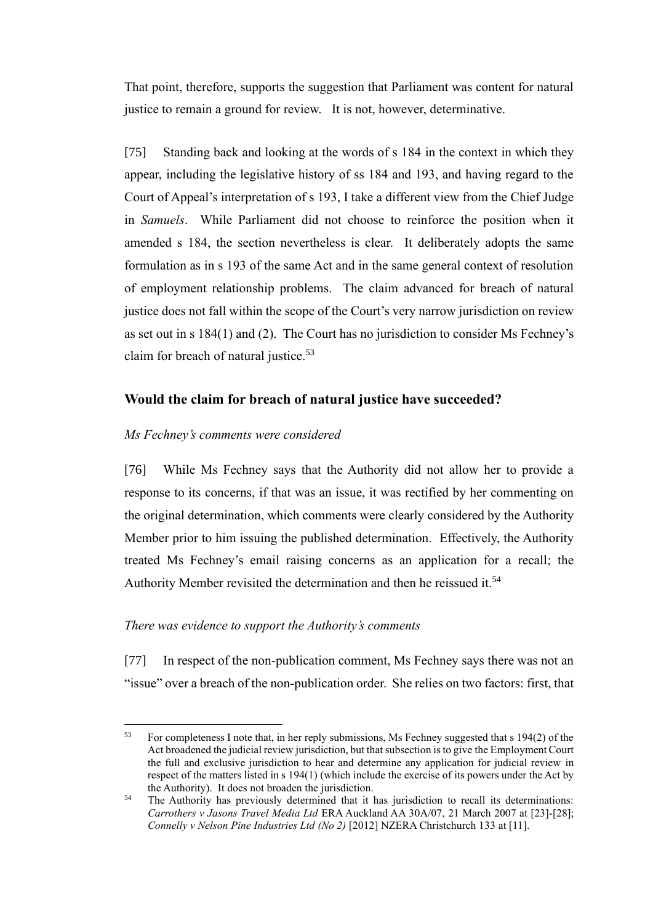That point, therefore, supports the suggestion that Parliament was content for natural justice to remain a ground for review. It is not, however, determinative.

[75] Standing back and looking at the words of s 184 in the context in which they appear, including the legislative history of ss 184 and 193, and having regard to the Court of Appeal's interpretation of s 193, I take a different view from the Chief Judge in *Samuels*. While Parliament did not choose to reinforce the position when it amended s 184, the section nevertheless is clear. It deliberately adopts the same formulation as in s 193 of the same Act and in the same general context of resolution of employment relationship problems. The claim advanced for breach of natural justice does not fall within the scope of the Court's very narrow jurisdiction on review as set out in s 184(1) and (2). The Court has no jurisdiction to consider Ms Fechney's claim for breach of natural justice.<sup>53</sup>

## **Would the claim for breach of natural justice have succeeded?**

#### *Ms Fechney's comments were considered*

[76] While Ms Fechney says that the Authority did not allow her to provide a response to its concerns, if that was an issue, it was rectified by her commenting on the original determination, which comments were clearly considered by the Authority Member prior to him issuing the published determination. Effectively, the Authority treated Ms Fechney's email raising concerns as an application for a recall; the Authority Member revisited the determination and then he reissued it.<sup>54</sup>

#### *There was evidence to support the Authority's comments*

[77] In respect of the non-publication comment, Ms Fechney says there was not an "issue" over a breach of the non-publication order. She relies on two factors: first, that

<sup>53</sup> For completeness I note that, in her reply submissions, Ms Fechney suggested that s 194(2) of the Act broadened the judicial review jurisdiction, but that subsection is to give the Employment Court the full and exclusive jurisdiction to hear and determine any application for judicial review in respect of the matters listed in s 194(1) (which include the exercise of its powers under the Act by the Authority). It does not broaden the jurisdiction.

<sup>&</sup>lt;sup>54</sup> The Authority has previously determined that it has jurisdiction to recall its determinations: *Carrothers v Jasons Travel Media Ltd* ERA Auckland AA 30A/07, 21 March 2007 at [23]-[28]; *Connelly v Nelson Pine Industries Ltd (No 2)* [2012] NZERA Christchurch 133 at [11].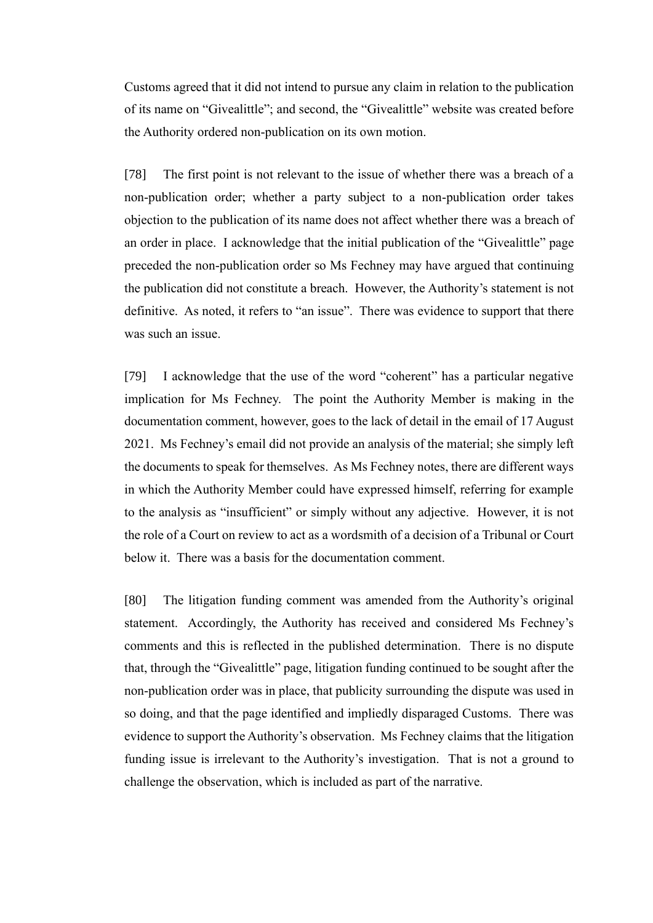Customs agreed that it did not intend to pursue any claim in relation to the publication of its name on "Givealittle"; and second, the "Givealittle" website was created before the Authority ordered non-publication on its own motion.

[78] The first point is not relevant to the issue of whether there was a breach of a non-publication order; whether a party subject to a non-publication order takes objection to the publication of its name does not affect whether there was a breach of an order in place. I acknowledge that the initial publication of the "Givealittle" page preceded the non-publication order so Ms Fechney may have argued that continuing the publication did not constitute a breach. However, the Authority's statement is not definitive. As noted, it refers to "an issue". There was evidence to support that there was such an issue.

[79] I acknowledge that the use of the word "coherent" has a particular negative implication for Ms Fechney. The point the Authority Member is making in the documentation comment, however, goes to the lack of detail in the email of 17 August 2021. Ms Fechney's email did not provide an analysis of the material; she simply left the documents to speak for themselves. As Ms Fechney notes, there are different ways in which the Authority Member could have expressed himself, referring for example to the analysis as "insufficient" or simply without any adjective. However, it is not the role of a Court on review to act as a wordsmith of a decision of a Tribunal or Court below it. There was a basis for the documentation comment.

[80] The litigation funding comment was amended from the Authority's original statement. Accordingly, the Authority has received and considered Ms Fechney's comments and this is reflected in the published determination. There is no dispute that, through the "Givealittle" page, litigation funding continued to be sought after the non-publication order was in place, that publicity surrounding the dispute was used in so doing, and that the page identified and impliedly disparaged Customs. There was evidence to support the Authority's observation. Ms Fechney claims that the litigation funding issue is irrelevant to the Authority's investigation. That is not a ground to challenge the observation, which is included as part of the narrative.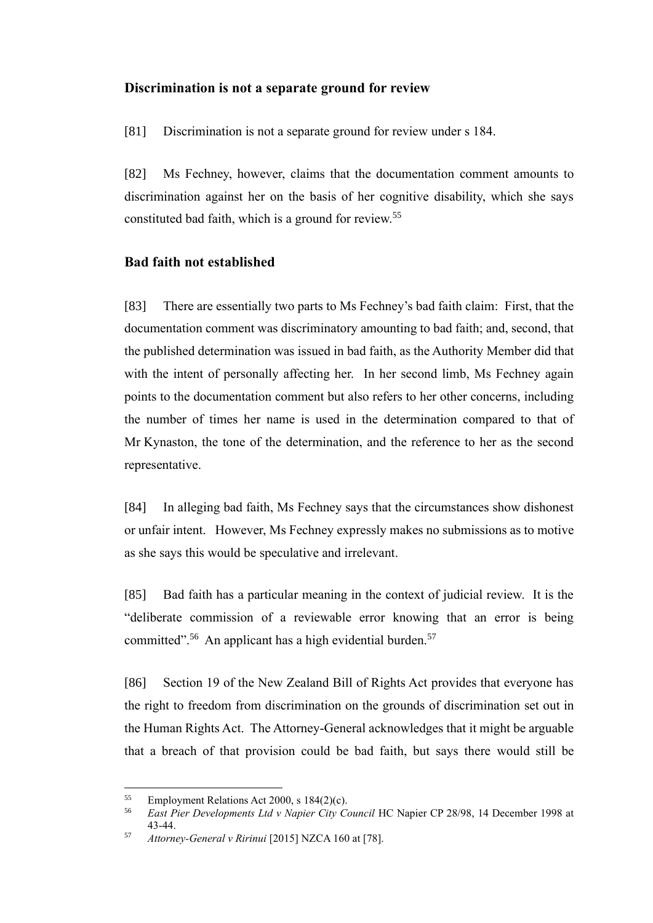#### **Discrimination is not a separate ground for review**

[81] Discrimination is not a separate ground for review under s 184.

[82] Ms Fechney, however, claims that the documentation comment amounts to discrimination against her on the basis of her cognitive disability, which she says constituted bad faith, which is a ground for review.<sup>55</sup>

### **Bad faith not established**

[83] There are essentially two parts to Ms Fechney's bad faith claim: First, that the documentation comment was discriminatory amounting to bad faith; and, second, that the published determination was issued in bad faith, as the Authority Member did that with the intent of personally affecting her. In her second limb, Ms Fechney again points to the documentation comment but also refers to her other concerns, including the number of times her name is used in the determination compared to that of Mr Kynaston, the tone of the determination, and the reference to her as the second representative.

[84] In alleging bad faith, Ms Fechney says that the circumstances show dishonest or unfair intent. However, Ms Fechney expressly makes no submissions as to motive as she says this would be speculative and irrelevant.

[85] Bad faith has a particular meaning in the context of judicial review. It is the "deliberate commission of a reviewable error knowing that an error is being committed".<sup>56</sup> An applicant has a high evidential burden.<sup>57</sup>

[86] Section 19 of the New Zealand Bill of Rights Act provides that everyone has the right to freedom from discrimination on the grounds of discrimination set out in the Human Rights Act. The Attorney-General acknowledges that it might be arguable that a breach of that provision could be bad faith, but says there would still be

<sup>55</sup> Employment Relations Act 2000, s 184(2)(c).

<sup>56</sup> *East Pier Developments Ltd v Napier City Council* HC Napier CP 28/98, 14 December 1998 at 43-44.

<sup>57</sup> *Attorney-General v Ririnui* [2015] NZCA 160 at [78].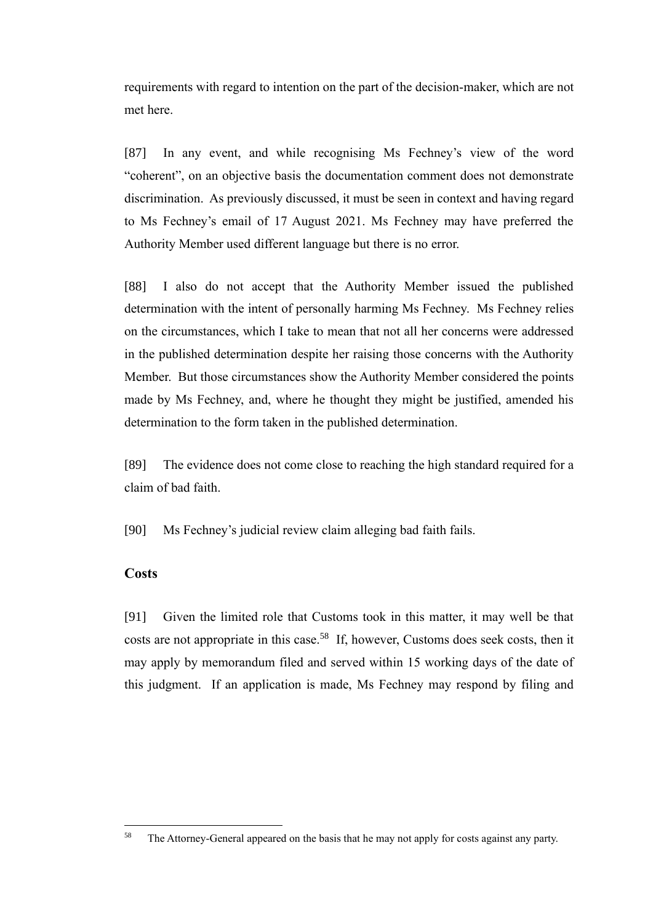requirements with regard to intention on the part of the decision-maker, which are not met here.

[87] In any event, and while recognising Ms Fechney's view of the word "coherent", on an objective basis the documentation comment does not demonstrate discrimination. As previously discussed, it must be seen in context and having regard to Ms Fechney's email of 17 August 2021. Ms Fechney may have preferred the Authority Member used different language but there is no error.

[88] I also do not accept that the Authority Member issued the published determination with the intent of personally harming Ms Fechney. Ms Fechney relies on the circumstances, which I take to mean that not all her concerns were addressed in the published determination despite her raising those concerns with the Authority Member. But those circumstances show the Authority Member considered the points made by Ms Fechney, and, where he thought they might be justified, amended his determination to the form taken in the published determination.

[89] The evidence does not come close to reaching the high standard required for a claim of bad faith.

[90] Ms Fechney's judicial review claim alleging bad faith fails.

### **Costs**

[91] Given the limited role that Customs took in this matter, it may well be that costs are not appropriate in this case.<sup>58</sup> If, however, Customs does seek costs, then it may apply by memorandum filed and served within 15 working days of the date of this judgment. If an application is made, Ms Fechney may respond by filing and

<sup>&</sup>lt;sup>58</sup> The Attorney-General appeared on the basis that he may not apply for costs against any party.